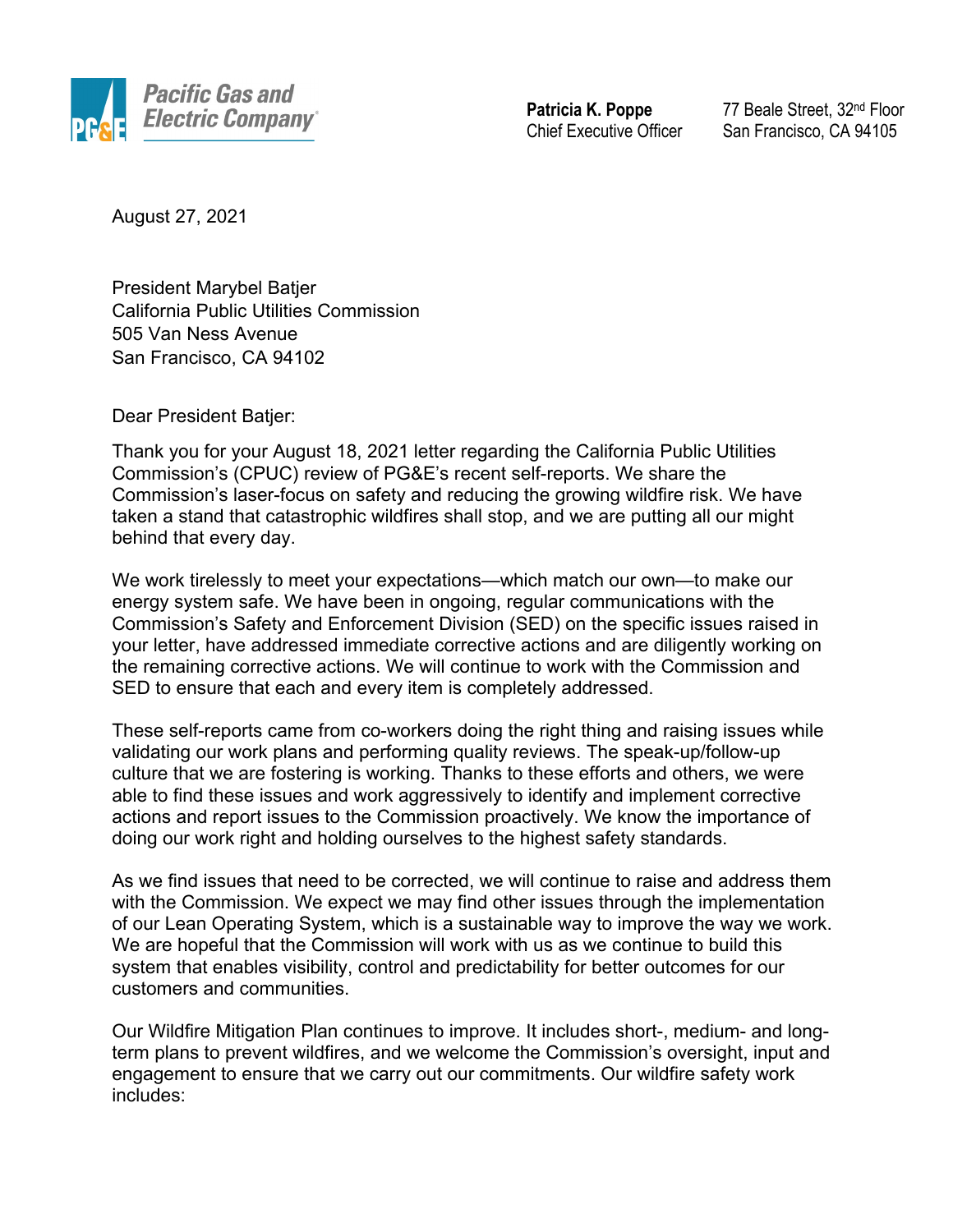

**Patricia K. Poppe** Chief Executive Officer

77 Beale Street, 32nd Floor San Francisco, CA 94105

August 27, 2021

President Marybel Batjer California Public Utilities Commission 505 Van Ness Avenue San Francisco, CA 94102

Dear President Batjer:

Thank you for your August 18, 2021 letter regarding the California Public Utilities Commission's (CPUC) review of PG&E's recent self-reports. We share the Commission's laser-focus on safety and reducing the growing wildfire risk. We have taken a stand that catastrophic wildfires shall stop, and we are putting all our might behind that every day.

We work tirelessly to meet your expectations—which match our own—to make our energy system safe. We have been in ongoing, regular communications with the Commission's Safety and Enforcement Division (SED) on the specific issues raised in your letter, have addressed immediate corrective actions and are diligently working on the remaining corrective actions. We will continue to work with the Commission and SED to ensure that each and every item is completely addressed.

These self-reports came from co-workers doing the right thing and raising issues while validating our work plans and performing quality reviews. The speak-up/follow-up culture that we are fostering is working. Thanks to these efforts and others, we were able to find these issues and work aggressively to identify and implement corrective actions and report issues to the Commission proactively. We know the importance of doing our work right and holding ourselves to the highest safety standards.

As we find issues that need to be corrected, we will continue to raise and address them with the Commission. We expect we may find other issues through the implementation of our Lean Operating System, which is a sustainable way to improve the way we work. We are hopeful that the Commission will work with us as we continue to build this system that enables visibility, control and predictability for better outcomes for our customers and communities.

Our Wildfire Mitigation Plan continues to improve. It includes short-, medium- and longterm plans to prevent wildfires, and we welcome the Commission's oversight, input and engagement to ensure that we carry out our commitments. Our wildfire safety work includes: